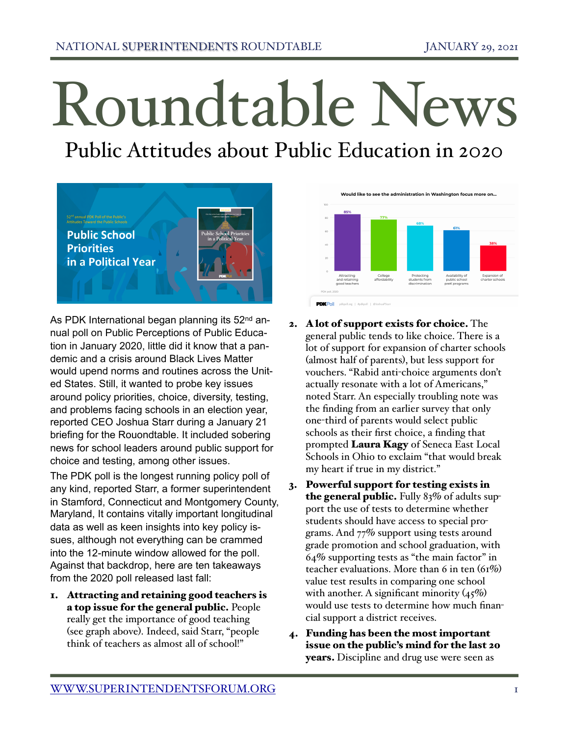## Roundtable News

Public Attitudes about Public Education in 2020



As PDK International began planning its 52<sup>nd</sup> annual poll on Public Perceptions of Public Education in January 2020, little did it know that a pandemic and a crisis around Black Lives Matter would upend norms and routines across the United States. Still, it wanted to probe key issues around policy priorities, choice, diversity, testing, and problems facing schools in an election year, reported CEO Joshua Starr during a January 21 briefing for the Rouondtable. It included sobering news for school leaders around public support for choice and testing, among other issues.

The PDK poll is the longest running policy poll of any kind, reported Starr, a former superintendent in Stamford, Connecticut and Montgomery County, Maryland, It contains vitally important longitudinal data as well as keen insights into key policy issues, although not everything can be crammed into the 12-minute window allowed for the poll. Against that backdrop, here are ten takeaways from the 2020 poll released last fall:

1. Attracting and retaining good teachers is a top issue for the general public. People really get the importance of good teaching (see graph above). Indeed, said Starr, "people think of teachers as almost all of school!"



- 2. A lot of support exists for choice. The general public tends to like choice. There is a lot of support for expansion of charter schools (almost half of parents), but less support for vouchers. "Rabid anti-choice arguments don't actually resonate with a lot of Americans," noted Starr. An especially troubling note was the finding from an earlier survey that only one-third of parents would select public schools as their first choice, a finding that prompted Laura Kagy of Seneca East Local Schools in Ohio to exclaim "that would break my heart if true in my district."
- 3. Powerful support for testing exists in the general public. Fully 83% of adults support the use of tests to determine whether students should have access to special programs. And 77% support using tests around grade promotion and school graduation, with 64% supporting tests as "the main factor" in teacher evaluations. More than 6 in ten (61%) value test results in comparing one school with another. A significant minority  $(45\%)$ would use tests to determine how much financial support a district receives.
- 4. Funding has been the most important issue on the public's mind for the last 20 years. Discipline and drug use were seen as